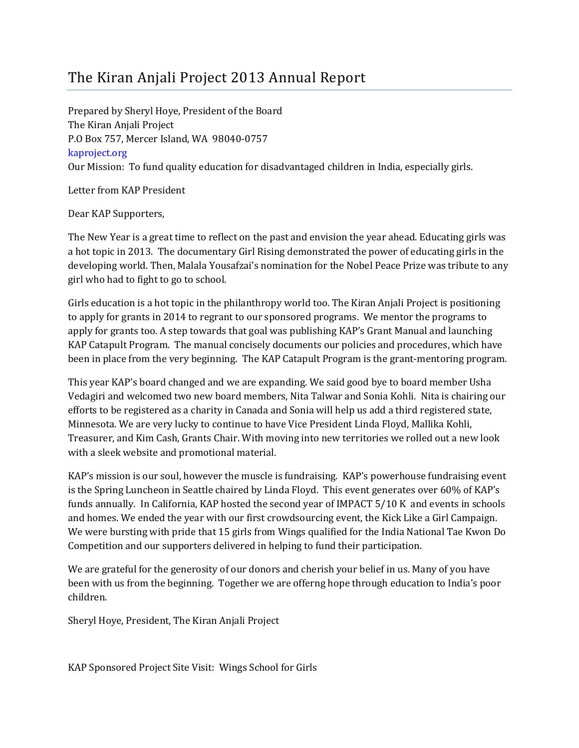## The Kiran Anjali Project 2013 Annual Report

Prepared by Sheryl Hoye, President of the Board The Kiran Anjali Project P.O Box 757, Mercer Island, WA 98040-0757 kaproject.org Our Mission: To fund quality education for disadvantaged children in India, especially girls.

Letter from KAP President

Dear KAP Supporters,

The New Year is a great time to reflect on the past and envision the year ahead. Educating girls was a hot topic in 2013. The documentary Girl Rising demonstrated the power of educating girls in the developing world. Then, Malala Yousafzai's nomination for the Nobel Peace Prize was tribute to any girl who had to fight to go to school.

Girls education is a hot topic in the philanthropy world too. The Kiran Anjali Project is positioning to apply for grants in 2014 to regrant to our sponsored programs. We mentor the programs to apply for grants too. A step towards that goal was publishing KAP's Grant Manual and launching KAP Catapult Program. The manual concisely documents our policies and procedures, which have been in place from the very beginning. The KAP Catapult Program is the grant-mentoring program.

This year KAP's board changed and we are expanding. We said good bye to board member Usha Vedagiri and welcomed two new board members, Nita Talwar and Sonia Kohli. Nita is chairing our efforts to be registered as a charity in Canada and Sonia will help us add a third registered state, Minnesota. We are very lucky to continue to have Vice President Linda Floyd, Mallika Kohli, Treasurer, and Kim Cash, Grants Chair. With moving into new territories we rolled out a new look with a sleek website and promotional material.

KAP's mission is our soul, however the muscle is fundraising. KAP's powerhouse fundraising event is the Spring Luncheon in Seattle chaired by Linda Floyd. This event generates over 60% of KAP's funds annually. In California, KAP hosted the second year of IMPACT 5/10 K and events in schools and homes. We ended the year with our first crowdsourcing event, the Kick Like a Girl Campaign. We were bursting with pride that 15 girls from Wings qualified for the India National Tae Kwon Do Competition and our supporters delivered in helping to fund their participation.

We are grateful for the generosity of our donors and cherish your belief in us. Many of you have been with us from the beginning. Together we are offerng hope through education to India's poor children.

Sheryl Hoye, President, The Kiran Anjali Project

KAP Sponsored Project Site Visit: Wings School for Girls